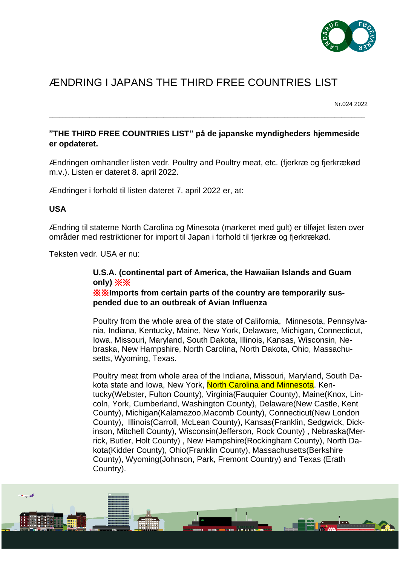

## ÆNDRING I JAPANS THE THIRD FREE COUNTRIES LIST

Nr.024 2022

## **"THE THIRD FREE COUNTRIES LIST" på de japanske myndigheders hjemmeside er opdateret.**

\_\_\_\_\_\_\_\_\_\_\_\_\_\_\_\_\_\_\_\_\_\_\_\_\_\_\_\_\_\_\_\_\_\_\_\_\_\_\_\_\_\_\_\_\_\_\_\_\_\_\_\_\_\_\_\_\_\_\_\_\_\_\_\_\_\_\_\_\_\_\_\_\_\_\_\_\_\_\_\_\_\_\_\_\_\_\_\_\_\_\_\_\_\_

Ændringen omhandler listen vedr. Poultry and Poultry meat, etc. (fjerkræ og fjerkrækød m.v.). Listen er dateret 8. april 2022.

Ændringer i forhold til listen dateret 7. april 2022 er, at:

## **USA**

Ændring til staterne North Carolina og Minesota (markeret med gult) er tilføjet listen over områder med restriktioner for import til Japan i forhold til fjerkræ og fjerkrækød.

Teksten vedr. USA er nu:

## **U.S.A. (continental part of America, the Hawaiian Islands and Guam only)** ※※

※※**Imports from certain parts of the country are temporarily suspended due to an outbreak of Avian Influenza**

Poultry from the whole area of the state of California, Minnesota, Pennsylvania, Indiana, Kentucky, Maine, New York, Delaware, Michigan, Connecticut, Iowa, Missouri, Maryland, South Dakota, Illinois, Kansas, Wisconsin, Nebraska, New Hampshire, North Carolina, North Dakota, Ohio, Massachusetts, Wyoming, Texas.

Poultry meat from whole area of the Indiana, Missouri, Maryland, South Dakota state and Iowa, New York, North Carolina and Minnesota. Kentucky(Webster, Fulton County), Virginia(Fauquier County), Maine(Knox, Lincoln, York, Cumberland, Washington County), Delaware(New Castle, Kent County), Michigan(Kalamazoo,Macomb County), Connecticut(New London County), Illinois(Carroll, McLean County), Kansas(Franklin, Sedgwick, Dickinson, Mitchell County), Wisconsin(Jefferson, Rock County) , Nebraska(Merrick, Butler, Holt County) , New Hampshire(Rockingham County), North Dakota(Kidder County), Ohio(Franklin County), Massachusetts(Berkshire County), Wyoming(Johnson, Park, Fremont Country) and Texas (Erath Country).